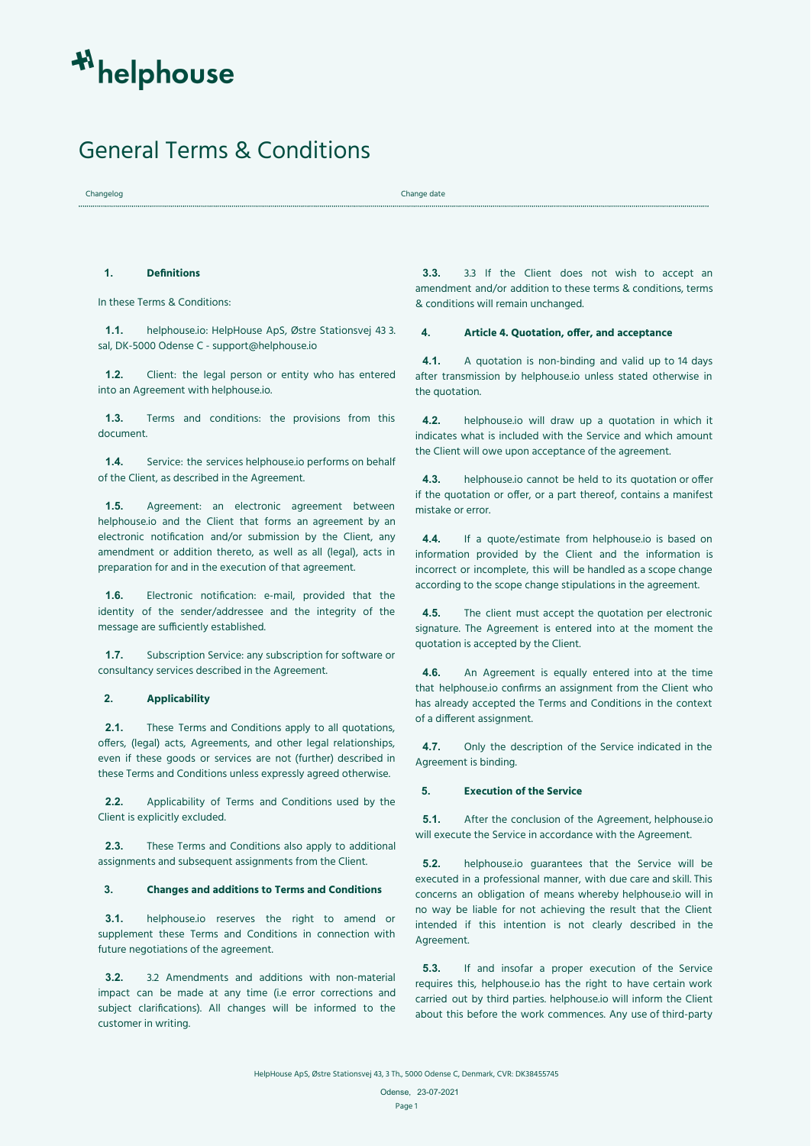# General Terms & Conditions

Changelog Change date

# **1. Definitions**

In these Terms & Conditions:

**1.1.** helphouse.io: HelpHouse ApS, Østre Stationsvej 43 3. sal, DK-5000 Odense C - [support@helphouse.io](mailto:support@helphouse.io)

**1.2.** Client: the legal person or entity who has entered into an Agreement with helphouse.io.

**1.3.** Terms and conditions: the provisions from this document.

**1.4.** Service: the services helphouse.io performs on behalf of the Client, as described in the Agreement.

**1.5.** Agreement: an electronic agreement between helphouse.io and the Client that forms an agreement by an electronic notification and/or submission by the Client, any amendment or addition thereto, as well as all (legal), acts in preparation for and in the execution of that agreement.

**1.6.** Electronic notification: e-mail, provided that the identity of the sender/addressee and the integrity of the message are sufficiently established.

**1.7.** Subscription Service: any subscription for software or consultancy services described in the Agreement.

## **2. Applicability**

**2.1.** These Terms and Conditions apply to all quotations, offers, (legal) acts, Agreements, and other legal relationships, even if these goods or services are not (further) described in these Terms and Conditions unless expressly agreed otherwise.

**2.2.** Applicability of Terms and Conditions used by the Client is explicitly excluded.

**2.3.** These Terms and Conditions also apply to additional assignments and subsequent assignments from the Client.

# **3. Changes and additions to Terms and Conditions**

**3.1.** helphouse.io reserves the right to amend or supplement these Terms and Conditions in connection with future negotiations of the agreement.

**3.2.** 3.2 Amendments and additions with non-material impact can be made at any time (i.e error corrections and subject clarifications). All changes will be informed to the customer in writing.

**3.3.** 3.3 If the Client does not wish to accept an amendment and/or addition to these terms & conditions, terms & conditions will remain unchanged.

# **4. Article 4. Quotation, offer, and acceptance**

**4.1.** A quotation is non-binding and valid up to 14 days after transmission by helphouse.io unless stated otherwise in the quotation.

**4.2.** helphouse.io will draw up a quotation in which it indicates what is included with the Service and which amount the Client will owe upon acceptance of the agreement.

**4.3.** helphouse.io cannot be held to its quotation or offer if the quotation or offer, or a part thereof, contains a manifest mistake or error.

**4.4.** If a quote/estimate from helphouse.io is based on information provided by the Client and the information is incorrect or incomplete, this will be handled as a scope change according to the scope change stipulations in the agreement.

**4.5.** The client must accept the quotation per electronic signature. The Agreement is entered into at the moment the quotation is accepted by the Client.

**4.6.** An Agreement is equally entered into at the time that helphouse.io confirms an assignment from the Client who has already accepted the Terms and Conditions in the context of a different assignment.

**4.7.** Only the description of the Service indicated in the Agreement is binding.

## **5. Execution of the Service**

**5.1.** After the conclusion of the Agreement, helphouse.io will execute the Service in accordance with the Agreement.

**5.2.** helphouse.io guarantees that the Service will be executed in a professional manner, with due care and skill. This concerns an obligation of means whereby helphouse.io will in no way be liable for not achieving the result that the Client intended if this intention is not clearly described in the Agreement.

**5.3.** If and insofar a proper execution of the Service requires this, helphouse.io has the right to have certain work carried out by third parties. helphouse.io will inform the Client about this before the work commences. Any use of third-party

HelpHouse ApS, Østre Stationsvej 43, 3 Th., 5000 Odense C, Denmark, CVR: DK38455745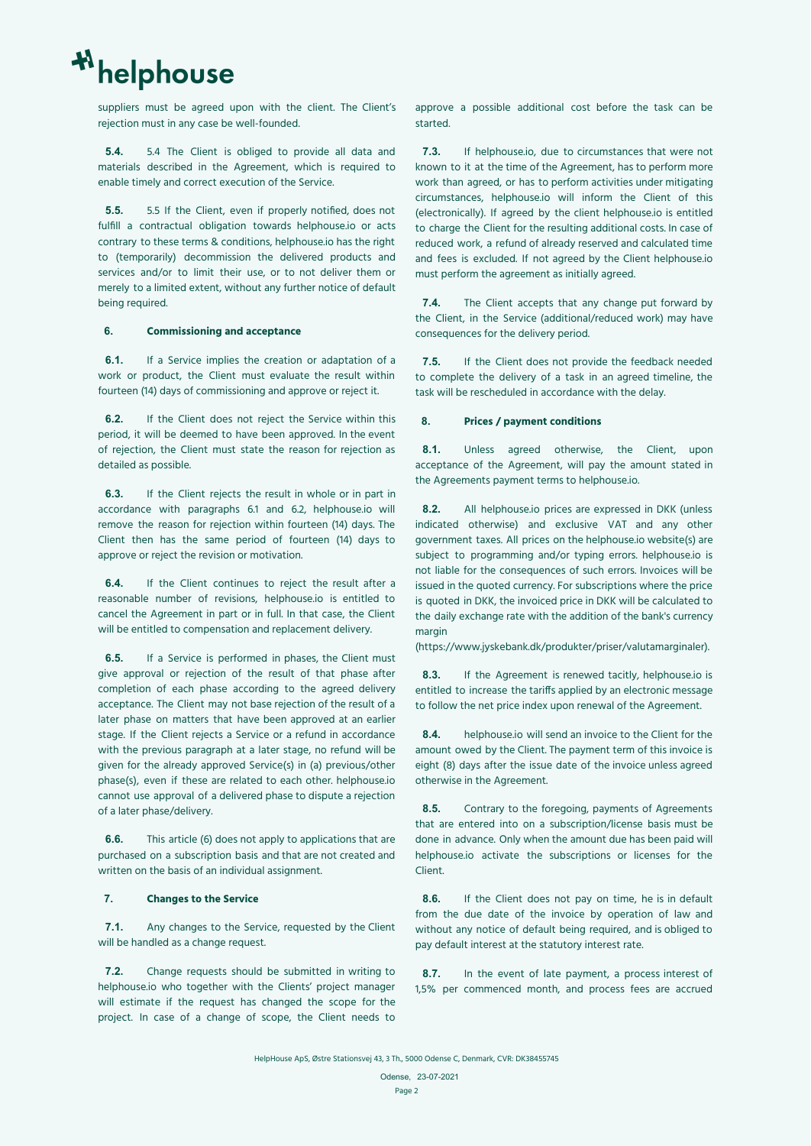suppliers must be agreed upon with the client. The Client's rejection must in any case be well-founded.

**5.4.** 5.4 The Client is obliged to provide all data and materials described in the Agreement, which is required to enable timely and correct execution of the Service.

**5.5.** 5.5 If the Client, even if properly notified, does not fulfill a contractual obligation towards helphouse.io or acts contrary to these terms & conditions, helphouse.io has the right to (temporarily) decommission the delivered products and services and/or to limit their use, or to not deliver them or merely to a limited extent, without any further notice of default being required.

### **6. Commissioning and acceptance**

**6.1.** If a Service implies the creation or adaptation of a work or product, the Client must evaluate the result within fourteen (14) days of commissioning and approve or reject it.

**6.2.** If the Client does not reject the Service within this period, it will be deemed to have been approved. In the event of rejection, the Client must state the reason for rejection as detailed as possible.

**6.3.** If the Client rejects the result in whole or in part in accordance with paragraphs 6.1 and 6.2, helphouse.io will remove the reason for rejection within fourteen (14) days. The Client then has the same period of fourteen (14) days to approve or reject the revision or motivation.

**6.4.** If the Client continues to reject the result after a reasonable number of revisions, helphouse.io is entitled to cancel the Agreement in part or in full. In that case, the Client will be entitled to compensation and replacement delivery.

**6.5.** If a Service is performed in phases, the Client must give approval or rejection of the result of that phase after completion of each phase according to the agreed delivery acceptance. The Client may not base rejection of the result of a later phase on matters that have been approved at an earlier stage. If the Client rejects a Service or a refund in accordance with the previous paragraph at a later stage, no refund will be given for the already approved Service(s) in (a) previous/other phase(s), even if these are related to each other. helphouse.io cannot use approval of a delivered phase to dispute a rejection of a later phase/delivery.

**6.6.** This article (6) does not apply to applications that are purchased on a subscription basis and that are not created and written on the basis of an individual assignment.

# **7. Changes to the Service**

**7.1.** Any changes to the Service, requested by the Client will be handled as a change request.

**7.2.** Change requests should be submitted in writing to helphouse.io who together with the Clients' project manager will estimate if the request has changed the scope for the project. In case of a change of scope, the Client needs to approve a possible additional cost before the task can be started.

**7.3.** If helphouse.io, due to circumstances that were not known to it at the time of the Agreement, has to perform more work than agreed, or has to perform activities under mitigating circumstances, helphouse.io will inform the Client of this (electronically). If agreed by the client helphouse.io is entitled to charge the Client for the resulting additional costs. In case of reduced work, a refund of already reserved and calculated time and fees is excluded. If not agreed by the Client helphouse.io must perform the agreement as initially agreed.

**7.4.** The Client accepts that any change put forward by the Client, in the Service (additional/reduced work) may have consequences for the delivery period.

**7.5.** If the Client does not provide the feedback needed to complete the delivery of a task in an agreed timeline, the task will be rescheduled in accordance with the delay.

#### **8. Prices / payment conditions**

8.1. Unless agreed otherwise, the Client, upon acceptance of the Agreement, will pay the amount stated in the Agreements payment terms to helphouse.io.

**8.2.** All helphouse.io prices are expressed in DKK (unless indicated otherwise) and exclusive VAT and any other government taxes. All prices on the helphouse.io website(s) are subject to programming and/or typing errors. helphouse.io is not liable for the consequences of such errors. Invoices will be issued in the quoted currency. For subscriptions where the price is quoted in DKK, the invoiced price in DKK will be calculated to the daily exchange rate with the addition of the bank's currency margin

(https://www.jyskebank.dk/produkter/priser/valutamarginaler).

**8.3.** If the Agreement is renewed tacitly, helphouse.io is entitled to increase the tariffs applied by an electronic message to follow the net price index upon renewal of the Agreement.

**8.4.** helphouse.io will send an invoice to the Client for the amount owed by the Client. The payment term of this invoice is eight (8) days after the issue date of the invoice unless agreed otherwise in the Agreement.

**8.5.** Contrary to the foregoing, payments of Agreements that are entered into on a subscription/license basis must be done in advance. Only when the amount due has been paid will helphouse.io activate the subscriptions or licenses for the Client.

**8.6.** If the Client does not pay on time, he is in default from the due date of the invoice by operation of law and without any notice of default being required, and is obliged to pay default interest at the statutory interest rate.

**8.7.** In the event of late payment, a process interest of 1,5% per commenced month, and process fees are accrued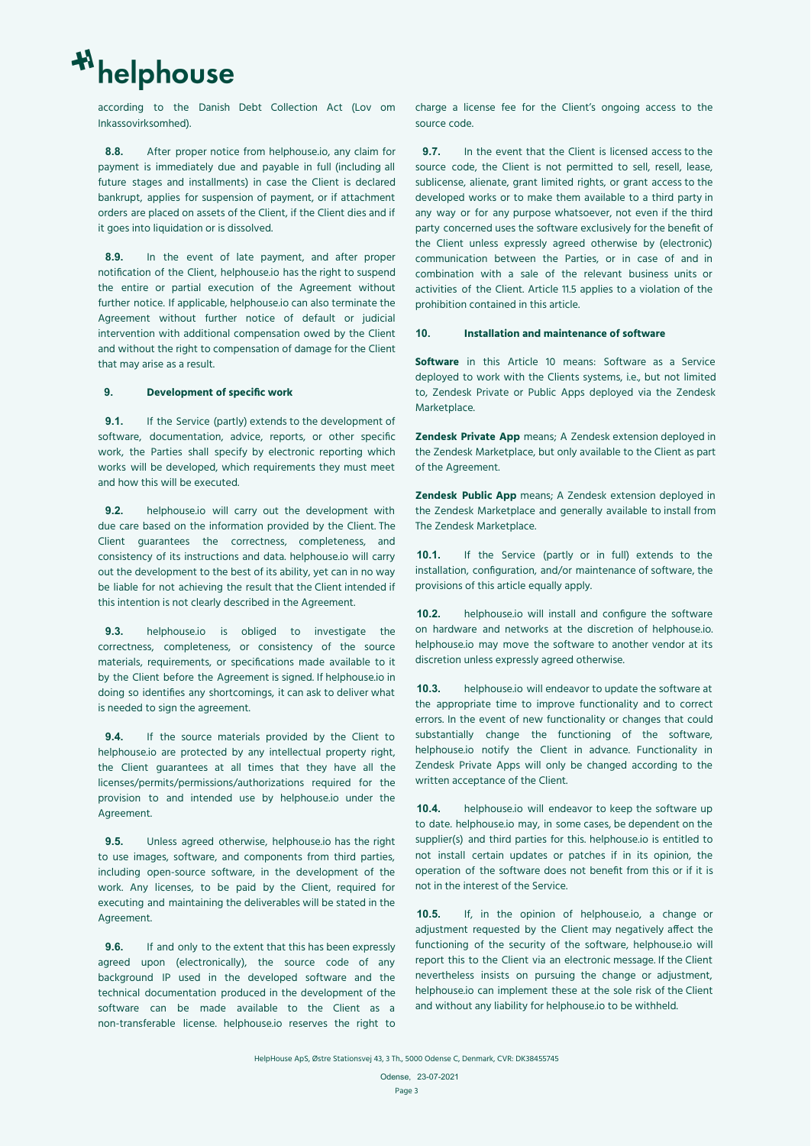according to the Danish Debt Collection Act (Lov om Inkassovirksomhed).

**8.8.** After proper notice from helphouse.io, any claim for payment is immediately due and payable in full (including all future stages and installments) in case the Client is declared bankrupt, applies for suspension of payment, or if attachment orders are placed on assets of the Client, if the Client dies and if it goes into liquidation or is dissolved.

**8.9.** In the event of late payment, and after proper notification of the Client, helphouse.io has the right to suspend the entire or partial execution of the Agreement without further notice. If applicable, helphouse.io can also terminate the Agreement without further notice of default or judicial intervention with additional compensation owed by the Client and without the right to compensation of damage for the Client that may arise as a result.

### **9. Development of specific work**

**9.1.** If the Service (partly) extends to the development of software, documentation, advice, reports, or other specific work, the Parties shall specify by electronic reporting which works will be developed, which requirements they must meet and how this will be executed.

**9.2.** helphouse.io will carry out the development with due care based on the information provided by the Client. The Client guarantees the correctness, completeness, and consistency of its instructions and data. helphouse.io will carry out the development to the best of its ability, yet can in no way be liable for not achieving the result that the Client intended if this intention is not clearly described in the Agreement.

**9.3.** helphouse.io is obliged to investigate the correctness, completeness, or consistency of the source materials, requirements, or specifications made available to it by the Client before the Agreement is signed. If helphouse.io in doing so identifies any shortcomings, it can ask to deliver what is needed to sign the agreement.

**9.4.** If the source materials provided by the Client to helphouse.io are protected by any intellectual property right, the Client guarantees at all times that they have all the licenses/permits/permissions/authorizations required for the provision to and intended use by helphouse.io under the Agreement.

**9.5.** Unless agreed otherwise, helphouse.io has the right to use images, software, and components from third parties, including open-source software, in the development of the work. Any licenses, to be paid by the Client, required for executing and maintaining the deliverables will be stated in the Agreement.

**9.6.** If and only to the extent that this has been expressly agreed upon (electronically), the source code of any background IP used in the developed software and the technical documentation produced in the development of the software can be made available to the Client as a non-transferable license. helphouse.io reserves the right to

charge a license fee for the Client's ongoing access to the source code.

**9.7.** In the event that the Client is licensed access to the source code, the Client is not permitted to sell, resell, lease, sublicense, alienate, grant limited rights, or grant access to the developed works or to make them available to a third party in any way or for any purpose whatsoever, not even if the third party concerned uses the software exclusively for the benefit of the Client unless expressly agreed otherwise by (electronic) communication between the Parties, or in case of and in combination with a sale of the relevant business units or activities of the Client. Article 11.5 applies to a violation of the prohibition contained in this article.

# **10. Installation and maintenance of software**

**Software** in this Article 10 means: Software as a Service deployed to work with the Clients systems, i.e., but not limited to, Zendesk Private or Public Apps deployed via the Zendesk Marketplace.

**Zendesk Private App** means; A Zendesk extension deployed in the Zendesk Marketplace, but only available to the Client as part of the Agreement.

**Zendesk Public App** means; A Zendesk extension deployed in the Zendesk Marketplace and generally available to install from The Zendesk Marketplace.

**10.1.** If the Service (partly or in full) extends to the installation, configuration, and/or maintenance of software, the provisions of this article equally apply.

**10.2.** helphouse.io will install and configure the software on hardware and networks at the discretion of helphouse.io. helphouse.io may move the software to another vendor at its discretion unless expressly agreed otherwise.

**10.3.** helphouse.io will endeavor to update the software at the appropriate time to improve functionality and to correct errors. In the event of new functionality or changes that could substantially change the functioning of the software, helphouse.io notify the Client in advance. Functionality in Zendesk Private Apps will only be changed according to the written acceptance of the Client.

**10.4.** helphouse.io will endeavor to keep the software up to date. helphouse.io may, in some cases, be dependent on the supplier(s) and third parties for this. helphouse.io is entitled to not install certain updates or patches if in its opinion, the operation of the software does not benefit from this or if it is not in the interest of the Service.

**10.5.** If, in the opinion of helphouse.io, a change or adjustment requested by the Client may negatively affect the functioning of the security of the software, helphouse.io will report this to the Client via an electronic message. If the Client nevertheless insists on pursuing the change or adjustment, helphouse.io can implement these at the sole risk of the Client and without any liability for helphouse.io to be withheld.

Odense, 23-07-2021 Page 3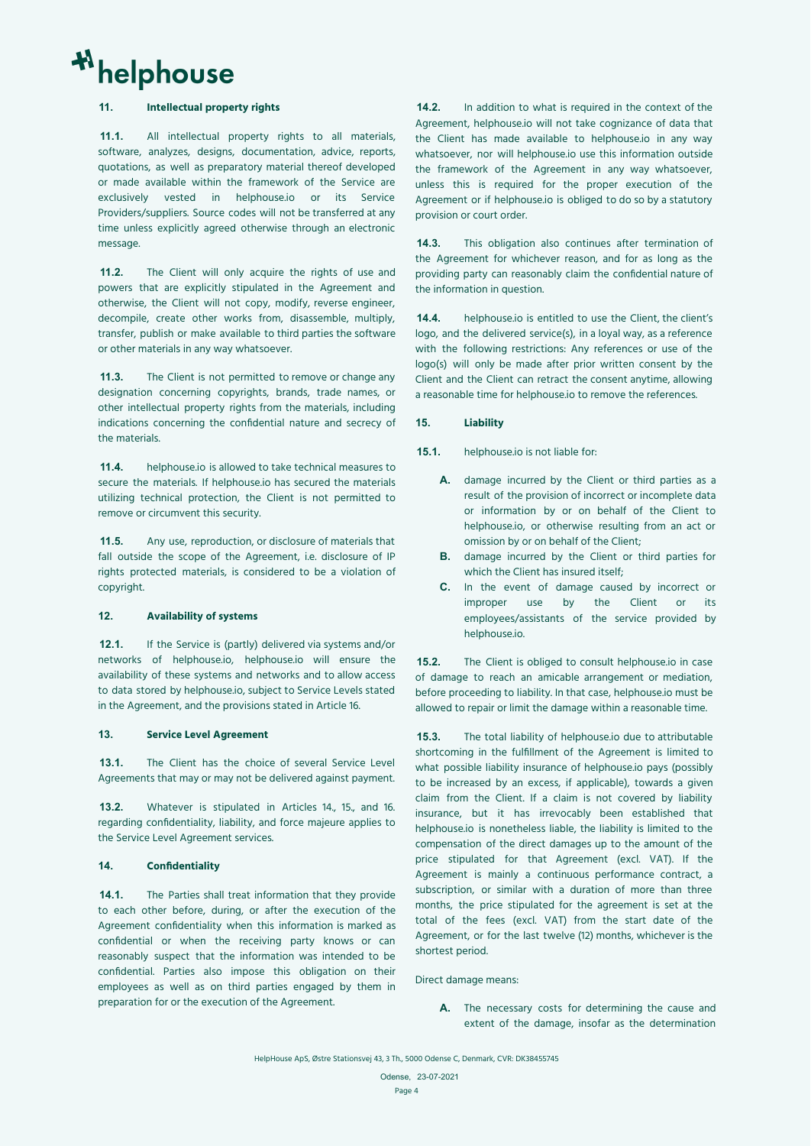# **11. Intellectual property rights**

**11.1.** All intellectual property rights to all materials, software, analyzes, designs, documentation, advice, reports, quotations, as well as preparatory material thereof developed or made available within the framework of the Service are exclusively vested in helphouse.io or its Service Providers/suppliers. Source codes will not be transferred at any time unless explicitly agreed otherwise through an electronic message.

**11.2.** The Client will only acquire the rights of use and powers that are explicitly stipulated in the Agreement and otherwise, the Client will not copy, modify, reverse engineer, decompile, create other works from, disassemble, multiply, transfer, publish or make available to third parties the software or other materials in any way whatsoever.

**11.3.** The Client is not permitted to remove or change any designation concerning copyrights, brands, trade names, or other intellectual property rights from the materials, including indications concerning the confidential nature and secrecy of the materials.

**11.4.** helphouse.io is allowed to take technical measures to secure the materials. If helphouse.io has secured the materials utilizing technical protection, the Client is not permitted to remove or circumvent this security.

**11.5.** Any use, reproduction, or disclosure of materials that fall outside the scope of the Agreement, i.e. disclosure of IP rights protected materials, is considered to be a violation of copyright.

# **12. Availability of systems**

**12.1.** If the Service is (partly) delivered via systems and/or networks of helphouse.io, helphouse.io will ensure the availability of these systems and networks and to allow access to data stored by helphouse.io, subject to Service Levels stated in the Agreement, and the provisions stated in Article 16.

#### **13. Service Level Agreement**

**13.1.** The Client has the choice of several Service Level Agreements that may or may not be delivered against payment.

**13.2.** Whatever is stipulated in Articles 14., 15., and 16. regarding confidentiality, liability, and force majeure applies to the Service Level Agreement services.

#### **14. Confidentiality**

**14.1.** The Parties shall treat information that they provide to each other before, during, or after the execution of the Agreement confidentiality when this information is marked as confidential or when the receiving party knows or can reasonably suspect that the information was intended to be confidential. Parties also impose this obligation on their employees as well as on third parties engaged by them in preparation for or the execution of the Agreement.

**14.2.** In addition to what is required in the context of the Agreement, helphouse.io will not take cognizance of data that the Client has made available to helphouse.io in any way whatsoever, nor will helphouse.io use this information outside the framework of the Agreement in any way whatsoever, unless this is required for the proper execution of the Agreement or if helphouse.io is obliged to do so by a statutory provision or court order.

**14.3.** This obligation also continues after termination of the Agreement for whichever reason, and for as long as the providing party can reasonably claim the confidential nature of the information in question.

**14.4.** helphouse.io is entitled to use the Client, the client's logo, and the delivered service(s), in a loyal way, as a reference with the following restrictions: Any references or use of the logo(s) will only be made after prior written consent by the Client and the Client can retract the consent anytime, allowing a reasonable time for helphouse.io to remove the references.

### **15. Liability**

**15.1.** helphouse.io is not liable for:

- **A.** damage incurred by the Client or third parties as a result of the provision of incorrect or incomplete data or information by or on behalf of the Client to helphouse.io, or otherwise resulting from an act or omission by or on behalf of the Client;
- **B.** damage incurred by the Client or third parties for which the Client has insured itself;
- **C.** In the event of damage caused by incorrect or improper use by the Client or its employees/assistants of the service provided by helphouse.io.

**15.2.** The Client is obliged to consult helphouse.io in case of damage to reach an amicable arrangement or mediation, before proceeding to liability. In that case, helphouse.io must be allowed to repair or limit the damage within a reasonable time.

**15.3.** The total liability of helphouse.io due to attributable shortcoming in the fulfillment of the Agreement is limited to what possible liability insurance of helphouse.io pays (possibly to be increased by an excess, if applicable), towards a given claim from the Client. If a claim is not covered by liability insurance, but it has irrevocably been established that helphouse.io is nonetheless liable, the liability is limited to the compensation of the direct damages up to the amount of the price stipulated for that Agreement (excl. VAT). If the Agreement is mainly a continuous performance contract, a subscription, or similar with a duration of more than three months, the price stipulated for the agreement is set at the total of the fees (excl. VAT) from the start date of the Agreement, or for the last twelve (12) months, whichever is the shortest period.

#### Direct damage means:

**A.** The necessary costs for determining the cause and extent of the damage, insofar as the determination

HelpHouse ApS, Østre Stationsvej 43, 3 Th., 5000 Odense C, Denmark, CVR: DK38455745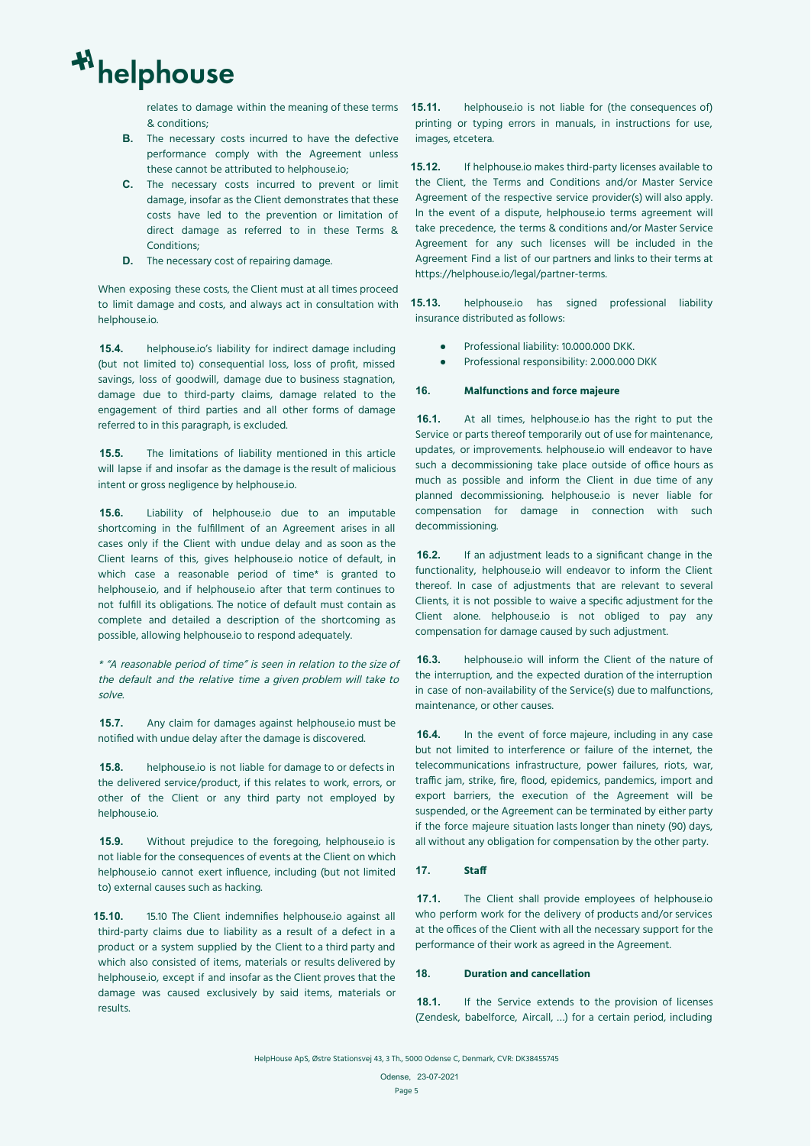relates to damage within the meaning of these terms & conditions;

- **B.** The necessary costs incurred to have the defective performance comply with the Agreement unless these cannot be attributed to helphouse.io;
- **C.** The necessary costs incurred to prevent or limit damage, insofar as the Client demonstrates that these costs have led to the prevention or limitation of direct damage as referred to in these Terms & Conditions;
- **D.** The necessary cost of repairing damage.

When exposing these costs, the Client must at all times proceed to limit damage and costs, and always act in consultation with helphouse.io.

**15.4.** helphouse.io's liability for indirect damage including (but not limited to) consequential loss, loss of profit, missed savings, loss of goodwill, damage due to business stagnation, damage due to third-party claims, damage related to the engagement of third parties and all other forms of damage referred to in this paragraph, is excluded.

**15.5.** The limitations of liability mentioned in this article will lapse if and insofar as the damage is the result of malicious intent or gross negligence by helphouse.io.

**15.6.** Liability of helphouse.io due to an imputable shortcoming in the fulfillment of an Agreement arises in all cases only if the Client with undue delay and as soon as the Client learns of this, gives helphouse.io notice of default, in which case a reasonable period of time\* is granted to helphouse.io, and if helphouse.io after that term continues to not fulfill its obligations. The notice of default must contain as complete and detailed a description of the shortcoming as possible, allowing helphouse.io to respond adequately.

\* "A reasonable period of time" is seen in relation to the size of the default and the relative time <sup>a</sup> given problem will take to solve.

**15.7.** Any claim for damages against helphouse.io must be notified with undue delay after the damage is discovered.

**15.8.** helphouse.io is not liable for damage to or defects in the delivered service/product, if this relates to work, errors, or other of the Client or any third party not employed by helphouse.io.

**15.9.** Without prejudice to the foregoing, helphouse.io is not liable for the consequences of events at the Client on which helphouse.io cannot exert influence, including (but not limited to) external causes such as hacking.

**15.10.** 15.10 The Client indemnifies helphouse.io against all third-party claims due to liability as a result of a defect in a product or a system supplied by the Client to a third party and which also consisted of items, materials or results delivered by helphouse.io, except if and insofar as the Client proves that the damage was caused exclusively by said items, materials or results.

**15.11.** helphouse.io is not liable for (the consequences of) printing or typing errors in manuals, in instructions for use, images, etcetera.

**15.12.** If helphouse.io makes third-party licenses available to the Client, the Terms and Conditions and/or Master Service Agreement of the respective service provider(s) will also apply. In the event of a dispute, helphouse.io terms agreement will take precedence, the terms & conditions and/or Master Service Agreement for any such licenses will be included in the Agreement Find a list of our partners and links to their terms at https://helphouse.io/legal/partner-terms.

**15.13.** helphouse.io has signed professional liability insurance distributed as follows:

- Professional liability: 10.000.000 DKK.
- Professional responsibility: 2.000.000 DKK

# **16. Malfunctions and force majeure**

**16.1.** At all times, helphouse.io has the right to put the Service or parts thereof temporarily out of use for maintenance, updates, or improvements. helphouse.io will endeavor to have such a decommissioning take place outside of office hours as much as possible and inform the Client in due time of any planned decommissioning. helphouse.io is never liable for compensation for damage in connection with such decommissioning.

**16.2.** If an adjustment leads to a significant change in the functionality, helphouse.io will endeavor to inform the Client thereof. In case of adjustments that are relevant to several Clients, it is not possible to waive a specific adjustment for the Client alone. helphouse.io is not obliged to pay any compensation for damage caused by such adjustment.

**16.3.** helphouse.io will inform the Client of the nature of the interruption, and the expected duration of the interruption in case of non-availability of the Service(s) due to malfunctions, maintenance, or other causes.

**16.4.** In the event of force majeure, including in any case but not limited to interference or failure of the internet, the telecommunications infrastructure, power failures, riots, war, traffic jam, strike, fire, flood, epidemics, pandemics, import and export barriers, the execution of the Agreement will be suspended, or the Agreement can be terminated by either party if the force majeure situation lasts longer than ninety (90) days, all without any obligation for compensation by the other party.

# **17. Staff**

**17.1.** The Client shall provide employees of helphouse.io who perform work for the delivery of products and/or services at the offices of the Client with all the necessary support for the performance of their work as agreed in the Agreement.

# **18. Duration and cancellation**

**18.1.** If the Service extends to the provision of licenses (Zendesk, babelforce, Aircall, …) for a certain period, including